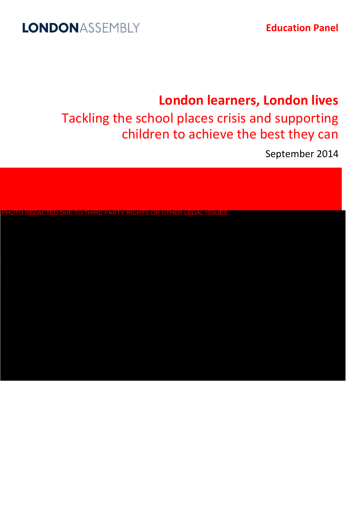# LONDONASSEMBLY

**Education Panel** 

# **London learners, London lives**

Tackling the school places crisis and supporting children to achieve the best they can

September 2014

PHOTO REDACTED DUE TO THIRD PARTY RIGHTS OR OTHER LEGAL ISSUES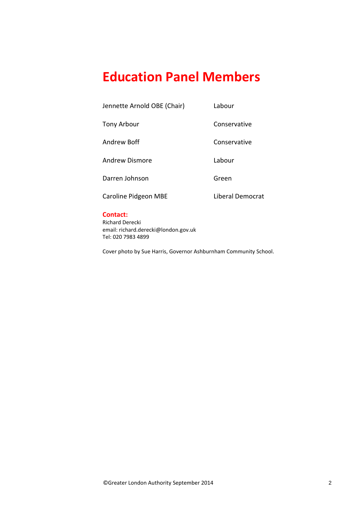# **Education Panel Members**

Jennette Arnold OBE (Chair) Labour

Tony Arbour **Conservative** 

Andrew Boff **Conservative** 

Andrew Dismore Labour

Darren Johnson Green

Caroline Pidgeon MBE Liberal Democrat

# **Contact:**

Richard Derecki email: richard.derecki@london.gov.uk Tel: 020 7983 4899

Cover photo by Sue Harris, Governor Ashburnham Community School.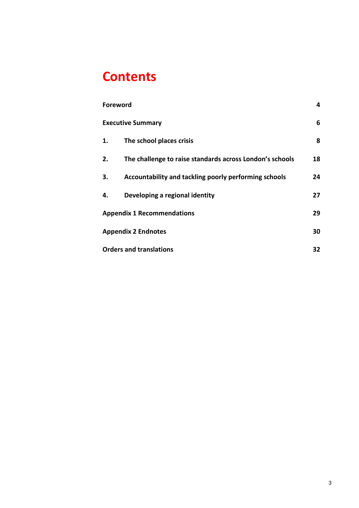# **Contents**

| <b>Foreword</b>                   |                                                          |    |
|-----------------------------------|----------------------------------------------------------|----|
| <b>Executive Summary</b>          |                                                          |    |
| 1.                                | The school places crisis                                 | 8  |
| 2.                                | The challenge to raise standards across London's schools | 18 |
| 3.                                | Accountability and tackling poorly performing schools    | 24 |
| 4.                                | Developing a regional identity                           | 27 |
| <b>Appendix 1 Recommendations</b> |                                                          | 29 |
| <b>Appendix 2 Endnotes</b>        |                                                          | 30 |
| <b>Orders and translations</b>    |                                                          |    |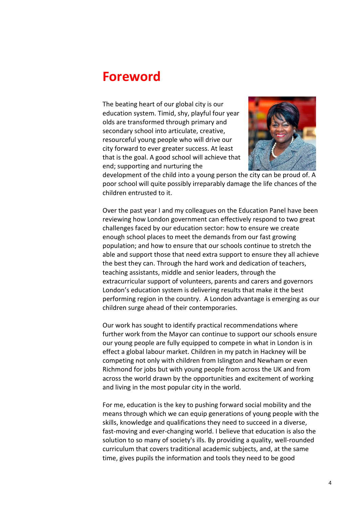# <span id="page-3-0"></span>**Foreword**

The beating heart of our global city is our education system. Timid, shy, playful four year olds are transformed through primary and secondary school into articulate, creative, resourceful young people who will drive our city forward to ever greater success. At least that is the goal. A good school will achieve that end; supporting and nurturing the



development of the child into a young person the city can be proud of. A poor school will quite possibly irreparably damage the life chances of the children entrusted to it.

Over the past year I and my colleagues on the Education Panel have been reviewing how London government can effectively respond to two great challenges faced by our education sector: how to ensure we create enough school places to meet the demands from our fast growing population; and how to ensure that our schools continue to stretch the able and support those that need extra support to ensure they all achieve the best they can. Through the hard work and dedication of teachers, teaching assistants, middle and senior leaders, through the extracurricular support of volunteers, parents and carers and governors London's education system is delivering results that make it the best performing region in the country. A London advantage is emerging as our children surge ahead of their contemporaries.

Our work has sought to identify practical recommendations where further work from the Mayor can continue to support our schools ensure our young people are fully equipped to compete in what in London is in effect a global labour market. Children in my patch in Hackney will be competing not only with children from Islington and Newham or even Richmond for jobs but with young people from across the UK and from across the world drawn by the opportunities and excitement of working and living in the most popular city in the world.

For me, education is the key to pushing forward social mobility and the means through which we can equip generations of young people with the skills, knowledge and qualifications they need to succeed in a diverse, fast-moving and ever-changing world. I believe that education is also the solution to so many of society's ills. By providing a quality, well-rounded curriculum that covers traditional academic subjects, and, at the same time, gives pupils the information and tools they need to be good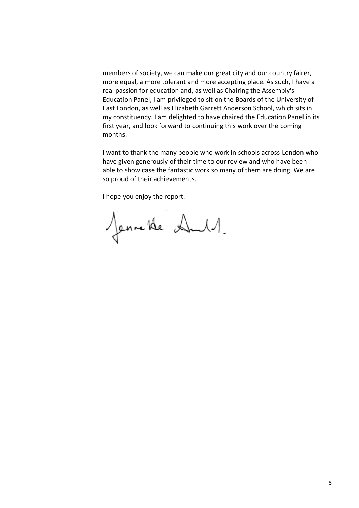members of society, we can make our great city and our country fairer, more equal, a more tolerant and more accepting place. As such, I have a real passion for education and, as well as Chairing the Assembly's Education Panel, I am privileged to sit on the Boards of the University of East London, as well as Elizabeth Garrett Anderson School, which sits in my constituency. I am delighted to have chaired the Education Panel in its first year, and look forward to continuing this work over the coming months.

I want to thank the many people who work in schools across London who have given generously of their time to our review and who have been able to show case the fantastic work so many of them are doing. We are so proud of their achievements.

I hope you enjoy the report.

Jennette Aul.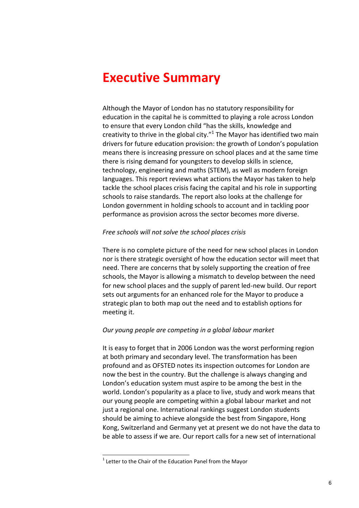# <span id="page-5-0"></span>**Executive Summary**

Although the Mayor of London has no statutory responsibility for education in the capital he is committed to playing a role across London to ensure that every London child "has the skills, knowledge and creativity to thrive in the global city. $^{\prime\prime}$ <sup>1</sup> The Mayor has identified two main drivers for future education provision: the growth of London's population means there is increasing pressure on school places and at the same time there is rising demand for youngsters to develop skills in science, technology, engineering and maths (STEM), as well as modern foreign languages. This report reviews what actions the Mayor has taken to help tackle the school places crisis facing the capital and his role in supporting schools to raise standards. The report also looks at the challenge for London government in holding schools to account and in tackling poor performance as provision across the sector becomes more diverse.

# *Free schools will not solve the school places crisis*

There is no complete picture of the need for new school places in London nor is there strategic oversight of how the education sector will meet that need. There are concerns that by solely supporting the creation of free schools, the Mayor is allowing a mismatch to develop between the need for new school places and the supply of parent led-new build. Our report sets out arguments for an enhanced role for the Mayor to produce a strategic plan to both map out the need and to establish options for meeting it.

# *Our young people are competing in a global labour market*

It is easy to forget that in 2006 London was the worst performing region at both primary and secondary level. The transformation has been profound and as OFSTED notes its inspection outcomes for London are now the best in the country. But the challenge is always changing and London's education system must aspire to be among the best in the world. London's popularity as a place to live, study and work means that our young people are competing within a global labour market and not just a regional one. International rankings suggest London students should be aiming to achieve alongside the best from Singapore, Hong Kong, Switzerland and Germany yet at present we do not have the data to be able to assess if we are. Our report calls for a new set of international

**-**

 $1$  Letter to the Chair of the Education Panel from the Mayor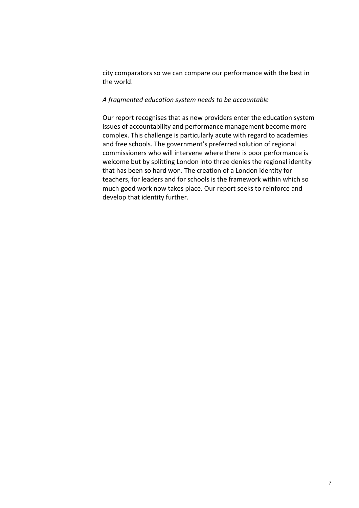city comparators so we can compare our performance with the best in the world.

# *A fragmented education system needs to be accountable*

Our report recognises that as new providers enter the education system issues of accountability and performance management become more complex. This challenge is particularly acute with regard to academies and free schools. The government's preferred solution of regional commissioners who will intervene where there is poor performance is welcome but by splitting London into three denies the regional identity that has been so hard won. The creation of a London identity for teachers, for leaders and for schools is the framework within which so much good work now takes place. Our report seeks to reinforce and develop that identity further.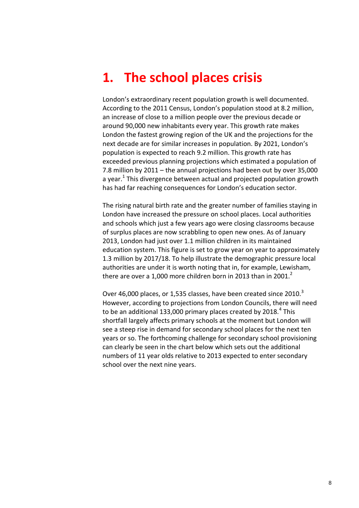# <span id="page-7-0"></span>**1. The school places crisis**

London's extraordinary recent population growth is well documented. According to the 2011 Census, London's population stood at 8.2 million, an increase of close to a million people over the previous decade or around 90,000 new inhabitants every year. This growth rate makes London the fastest growing region of the UK and the projections for the next decade are for similar increases in population. By 2021, London's population is expected to reach 9.2 million. This growth rate has exceeded previous planning projections which estimated a population of 7.8 million by 2011 – the annual projections had been out by over 35,000 a year.<sup>1</sup> This divergence between actual and projected population growth has had far reaching consequences for London's education sector.

The rising natural birth rate and the greater number of families staying in London have increased the pressure on school places. Local authorities and schools which just a few years ago were closing classrooms because of surplus places are now scrabbling to open new ones. As of January 2013, London had just over 1.1 million children in its maintained education system. This figure is set to grow year on year to approximately 1.3 million by 2017/18. To help illustrate the demographic pressure local authorities are under it is worth noting that in, for example, Lewisham, there are over a 1,000 more children born in 2013 than in 2001. $2$ 

Over 46,000 places, or 1,535 classes, have been created since 2010.<sup>3</sup> However, according to projections from London Councils, there will need to be an additional 133,000 primary places created by 2018. $^{4}$  This shortfall largely affects primary schools at the moment but London will see a steep rise in demand for secondary school places for the next ten years or so. The forthcoming challenge for secondary school provisioning can clearly be seen in the chart below which sets out the additional numbers of 11 year olds relative to 2013 expected to enter secondary school over the next nine years.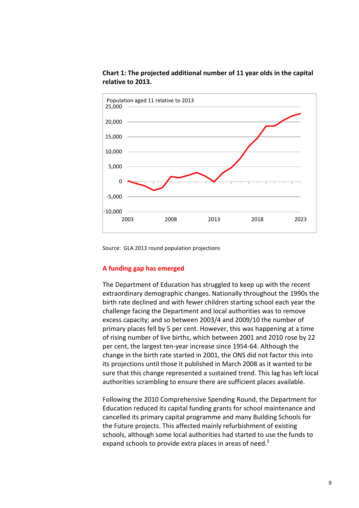

# **Chart 1: The projected additional number of 11 year olds in the capital relative to 2013.**

Source: GLA 2013 round population projections

# **A funding gap has emerged**

The Department of Education has struggled to keep up with the recent extraordinary demographic changes. Nationally throughout the 1990s the birth rate declined and with fewer children starting school each year the challenge facing the Department and local authorities was to remove excess capacity; and so between 2003/4 and 2009/10 the number of primary places fell by 5 per cent. However, this was happening at a time of rising number of live births, which between 2001 and 2010 rose by 22 per cent, the largest ten-year increase since 1954-64. Although the change in the birth rate started in 2001, the ONS did not factor this into its projections until those it published in March 2008 as it wanted to be sure that this change represented a sustained trend. This lag has left local authorities scrambling to ensure there are sufficient places available.

Following the 2010 Comprehensive Spending Round, the Department for Education reduced its capital funding grants for school maintenance and cancelled its primary capital programme and many Building Schools for the Future projects. This affected mainly refurbishment of existing schools, although some local authorities had started to use the funds to expand schools to provide extra places in areas of need.<sup>5</sup>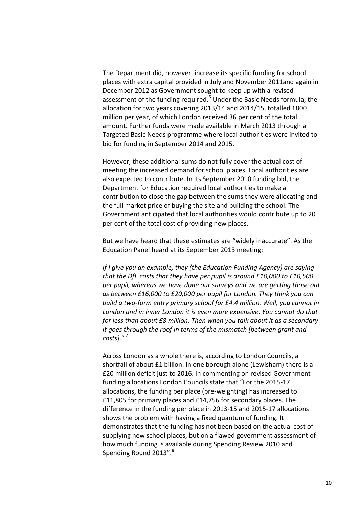The Department did, however, increase its specific funding for school places with extra capital provided in July and November 2011and again in December 2012 as Government sought to keep up with a revised assessment of the funding required.<sup>6</sup> Under the Basic Needs formula, the allocation for two years covering 2013/14 and 2014/15, totalled £800 million per year, of which London received 36 per cent of the total amount. Further funds were made available in March 2013 through a Targeted Basic Needs programme where local authorities were invited to bid for funding in September 2014 and 2015.

However, these additional sums do not fully cover the actual cost of meeting the increased demand for school places. Local authorities are also expected to contribute. In its September 2010 funding bid, the Department for Education required local authorities to make a contribution to close the gap between the sums they were allocating and the full market price of buying the site and building the school. The Government anticipated that local authorities would contribute up to 20 per cent of the total cost of providing new places.

But we have heard that these estimates are "widely inaccurate". As the Education Panel heard at its September 2013 meeting:

*If I give you an example, they (the Education Funding Agency) are saying that the DfE costs that they have per pupil is around £10,000 to £10,500 per pupil, whereas we have done our surveys and we are getting those out as between £16,000 to £20,000 per pupil for London. They think you can build a two-form entry primary school for £4.4 million. Well, you cannot in London and in inner London it is even more expensive. You cannot do that for less than about £8 million. Then when you talk about it as a secondary it goes through the roof in terms of the mismatch [between grant and costs].*" 7

Across London as a whole there is, according to London Councils, a shortfall of about £1 billion. In one borough alone (Lewisham) there is a £20 million deficit just to 2016. In commenting on revised Government funding allocations London Councils state that "For the 2015-17 allocations, the funding per place (pre-weighting) has increased to £11,805 for primary places and £14,756 for secondary places. The difference in the funding per place in 2013-15 and 2015-17 allocations shows the problem with having a fixed quantum of funding. It demonstrates that the funding has not been based on the actual cost of supplying new school places, but on a flawed government assessment of how much funding is available during Spending Review 2010 and Spending Round 2013".<sup>8</sup>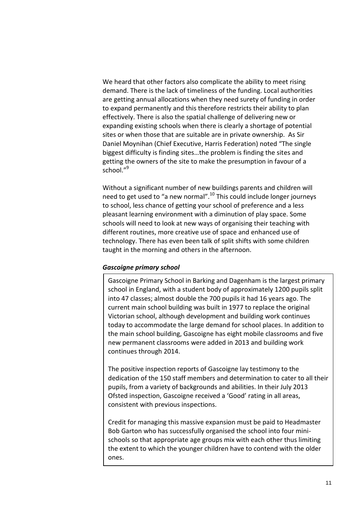We heard that other factors also complicate the ability to meet rising demand. There is the lack of timeliness of the funding. Local authorities are getting annual allocations when they need surety of funding in order to expand permanently and this therefore restricts their ability to plan effectively. There is also the spatial challenge of delivering new or expanding existing schools when there is clearly a shortage of potential sites or when those that are suitable are in private ownership. As Sir Daniel Moynihan (Chief Executive, Harris Federation) noted "The single biggest difficulty is finding sites…the problem is finding the sites and getting the owners of the site to make the presumption in favour of a school $^{\prime\prime9}$ 

Without a significant number of new buildings parents and children will need to get used to "a new normal".<sup>10</sup> This could include longer journeys to school, less chance of getting your school of preference and a less pleasant learning environment with a diminution of play space. Some schools will need to look at new ways of organising their teaching with different routines, more creative use of space and enhanced use of technology. There has even been talk of split shifts with some children taught in the morning and others in the afternoon.

# *Gascoigne primary school*

Gascoigne Primary School in Barking and Dagenham is the largest primary school in England, with a student body of approximately 1200 pupils split into 47 classes; almost double the 700 pupils it had 16 years ago. The current main school building was built in 1977 to replace the original Victorian school, although development and building work continues today to accommodate the large demand for school places. In addition to the main school building, Gascoigne has eight mobile classrooms and five new permanent classrooms were added in 2013 and building work continues through 2014.

The positive inspection reports of Gascoigne lay testimony to the dedication of the 150 staff members and determination to cater to all their pupils, from a variety of backgrounds and abilities. In their July 2013 Ofsted inspection, Gascoigne received a 'Good' rating in all areas, consistent with previous inspections.

Credit for managing this massive expansion must be paid to Headmaster Bob Garton who has successfully organised the school into four minischools so that appropriate age groups mix with each other thus limiting the extent to which the younger children have to contend with the older ones.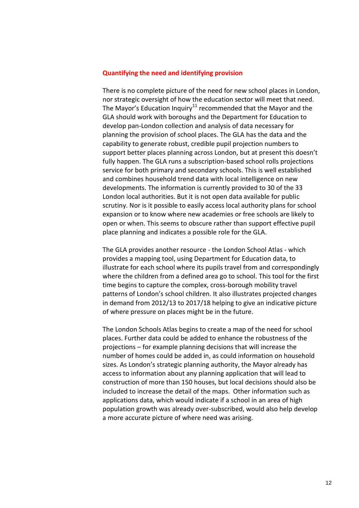### **Quantifying the need and identifying provision**

There is no complete picture of the need for new school places in London, nor strategic oversight of how the education sector will meet that need. The Mayor's Education Inquiry<sup>11</sup> recommended that the Mayor and the GLA should work with boroughs and the Department for Education to develop pan-London collection and analysis of data necessary for planning the provision of school places. The GLA has the data and the capability to generate robust, credible pupil projection numbers to support better places planning across London, but at present this doesn't fully happen. The GLA runs a subscription-based school rolls projections service for both primary and secondary schools. This is well established and combines household trend data with local intelligence on new developments. The information is currently provided to 30 of the 33 London local authorities. But it is not open data available for public scrutiny. Nor is it possible to easily access local authority plans for school expansion or to know where new academies or free schools are likely to open or when. This seems to obscure rather than support effective pupil place planning and indicates a possible role for the GLA.

The GLA provides another resource - the London School Atlas - which provides a mapping tool, using Department for Education data, to illustrate for each school where its pupils travel from and correspondingly where the children from a defined area go to school. This tool for the first time begins to capture the complex, cross-borough mobility travel patterns of London's school children. It also illustrates projected changes in demand from 2012/13 to 2017/18 helping to give an indicative picture of where pressure on places might be in the future.

The London Schools Atlas begins to create a map of the need for school places. Further data could be added to enhance the robustness of the projections – for example planning decisions that will increase the number of homes could be added in, as could information on household sizes. As London's strategic planning authority, the Mayor already has access to information about any planning application that will lead to construction of more than 150 houses, but local decisions should also be included to increase the detail of the maps. Other information such as applications data, which would indicate if a school in an area of high population growth was already over-subscribed, would also help develop a more accurate picture of where need was arising.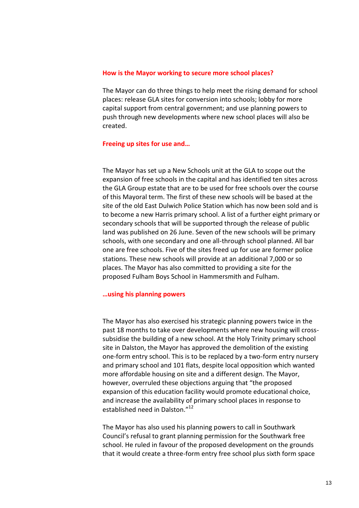### **How is the Mayor working to secure more school places?**

The Mayor can do three things to help meet the rising demand for school places: release GLA sites for conversion into schools; lobby for more capital support from central government; and use planning powers to push through new developments where new school places will also be created.

### **Freeing up sites for use and…**

The Mayor has set up a New Schools unit at the GLA to scope out the expansion of free schools in the capital and has identified ten sites across the GLA Group estate that are to be used for free schools over the course of this Mayoral term. The first of these new schools will be based at the site of the old East Dulwich Police Station which has now been sold and is to become a new Harris primary school. A list of a further eight primary or secondary schools that will be supported through the release of public land was published on 26 June. Seven of the new schools will be primary schools, with one secondary and one all-through school planned. All bar one are free schools. Five of the sites freed up for use are former police stations. These new schools will provide at an additional 7,000 or so places. The Mayor has also committed to providing a site for the proposed Fulham Boys School in Hammersmith and Fulham.

### **…using his planning powers**

The Mayor has also exercised his strategic planning powers twice in the past 18 months to take over developments where new housing will crosssubsidise the building of a new school. At the Holy Trinity primary school site in Dalston, the Mayor has approved the demolition of the existing one-form entry school. This is to be replaced by a two-form entry nursery and primary school and 101 flats, despite local opposition which wanted more affordable housing on site and a different design. The Mayor, however, overruled these objections arguing that "the proposed expansion of this education facility would promote educational choice, and increase the availability of primary school places in response to established need in Dalston."<sup>12</sup>

The Mayor has also used his planning powers to call in Southwark Council's refusal to grant planning permission for the Southwark free school. He ruled in favour of the proposed development on the grounds that it would create a three-form entry free school plus sixth form space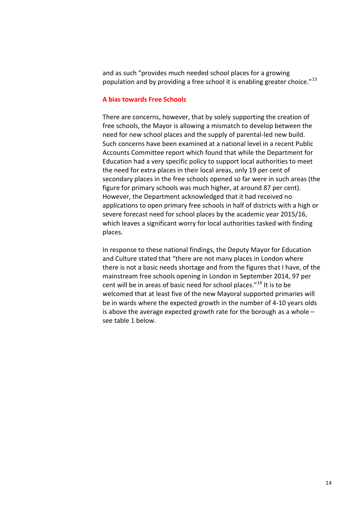and as such "provides much needed school places for a growing population and by providing a free school it is enabling greater choice."<sup>13</sup>

# **A bias towards Free Schools**

There are concerns, however, that by solely supporting the creation of free schools, the Mayor is allowing a mismatch to develop between the need for new school places and the supply of parental-led new build. Such concerns have been examined at a national level in a recent Public Accounts Committee report which found that while the Department for Education had a very specific policy to support local authorities to meet the need for extra places in their local areas, only 19 per cent of secondary places in the free schools opened so far were in such areas (the figure for primary schools was much higher, at around 87 per cent). However, the Department acknowledged that it had received no applications to open primary free schools in half of districts with a high or severe forecast need for school places by the academic year 2015/16, which leaves a significant worry for local authorities tasked with finding places.

In response to these national findings, the Deputy Mayor for Education and Culture stated that "there are not many places in London where there is not a basic needs shortage and from the figures that I have, of the mainstream free schools opening in London in September 2014, 97 per cent will be in areas of basic need for school places."<sup>14</sup> It is to be welcomed that at least five of the new Mayoral supported primaries will be in wards where the expected growth in the number of 4-10 years olds is above the average expected growth rate for the borough as a whole – see table 1 below.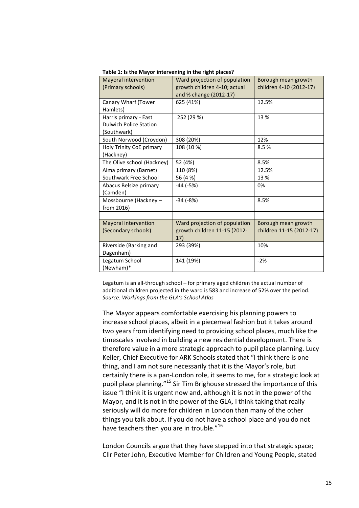| Mayoral intervention          | Ward projection of population | Borough mean growth      |
|-------------------------------|-------------------------------|--------------------------|
| (Primary schools)             | growth children 4-10; actual  | children 4-10 (2012-17)  |
|                               | and % change (2012-17)        |                          |
| Canary Wharf (Tower           | 625 (41%)                     | 12.5%                    |
| Hamlets)                      |                               |                          |
| Harris primary - East         | 252 (29 %)                    | 13 %                     |
| <b>Dulwich Police Station</b> |                               |                          |
| (Southwark)                   |                               |                          |
| South Norwood (Croydon)       | 308 (20%)                     | 12%                      |
| Holy Trinity CoE primary      | 108 (10 %)                    | 8.5%                     |
| (Hackney)                     |                               |                          |
| The Olive school (Hackney)    | 52 (4%)                       | 8.5%                     |
| Alma primary (Barnet)         | 110 (8%)                      | 12.5%                    |
| Southwark Free School         | 56 (4 %)                      | 13%                      |
| Abacus Belsize primary        | $-44$ ( $-5%$ )               | 0%                       |
| (Camden)                      |                               |                          |
| Mossbourne (Hackney -         | $-34(-8%)$                    | 8.5%                     |
| from 2016)                    |                               |                          |
|                               |                               |                          |
| Mayoral intervention          | Ward projection of population | Borough mean growth      |
| (Secondary schools)           | growth children 11-15 (2012-  | children 11-15 (2012-17) |
|                               | 17)                           |                          |
| Riverside (Barking and        | 293 (39%)                     | 10%                      |
| Dagenham)                     |                               |                          |
| Legatum School                | 141 (19%)                     | $-2%$                    |
| (Newham)*                     |                               |                          |

**Table 1: Is the Mayor intervening in the right places?** 

Legatum is an all-through school – for primary aged children the actual number of additional children projected in the ward is 583 and increase of 52% over the period. *Source: Workings from the GLA's School Atlas*

The Mayor appears comfortable exercising his planning powers to increase school places, albeit in a piecemeal fashion but it takes around two years from identifying need to providing school places, much like the timescales involved in building a new residential development. There is therefore value in a more strategic approach to pupil place planning. Lucy Keller, Chief Executive for ARK Schools stated that "I think there is one thing, and I am not sure necessarily that it is the Mayor's role, but certainly there is a pan-London role, it seems to me, for a strategic look at pupil place planning."<sup>15</sup> Sir Tim Brighouse stressed the importance of this issue "I think it is urgent now and, although it is not in the power of the Mayor, and it is not in the power of the GLA, I think taking that really seriously will do more for children in London than many of the other things you talk about. If you do not have a school place and you do not have teachers then you are in trouble."<sup>16</sup>

London Councils argue that they have stepped into that strategic space; Cllr Peter John, Executive Member for Children and Young People, stated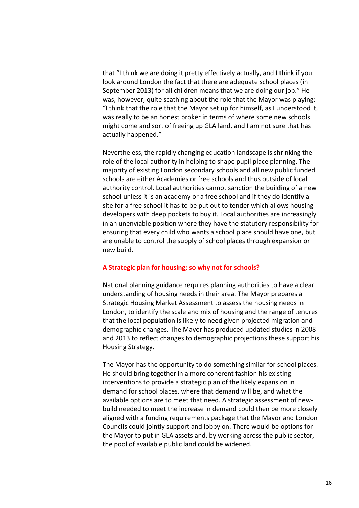that "I think we are doing it pretty effectively actually, and I think if you look around London the fact that there are adequate school places (in September 2013) for all children means that we are doing our job." He was, however, quite scathing about the role that the Mayor was playing: "I think that the role that the Mayor set up for himself, as I understood it, was really to be an honest broker in terms of where some new schools might come and sort of freeing up GLA land, and I am not sure that has actually happened."

Nevertheless, the rapidly changing education landscape is shrinking the role of the local authority in helping to shape pupil place planning. The majority of existing London secondary schools and all new public funded schools are either Academies or free schools and thus outside of local authority control. Local authorities cannot sanction the building of a new school unless it is an academy or a free school and if they do identify a site for a free school it has to be put out to tender which allows housing developers with deep pockets to buy it. Local authorities are increasingly in an unenviable position where they have the statutory responsibility for ensuring that every child who wants a school place should have one, but are unable to control the supply of school places through expansion or new build.

# **A Strategic plan for housing; so why not for schools?**

National planning guidance requires planning authorities to have a clear understanding of housing needs in their area. The Mayor prepares a Strategic Housing Market Assessment to assess the housing needs in London, to identify the scale and mix of housing and the range of tenures that the local population is likely to need given projected migration and demographic changes. The Mayor has produced updated studies in 2008 and 2013 to reflect changes to demographic projections these support his Housing Strategy.

The Mayor has the opportunity to do something similar for school places. He should bring together in a more coherent fashion his existing interventions to provide a strategic plan of the likely expansion in demand for school places, where that demand will be, and what the available options are to meet that need. A strategic assessment of newbuild needed to meet the increase in demand could then be more closely aligned with a funding requirements package that the Mayor and London Councils could jointly support and lobby on. There would be options for the Mayor to put in GLA assets and, by working across the public sector, the pool of available public land could be widened.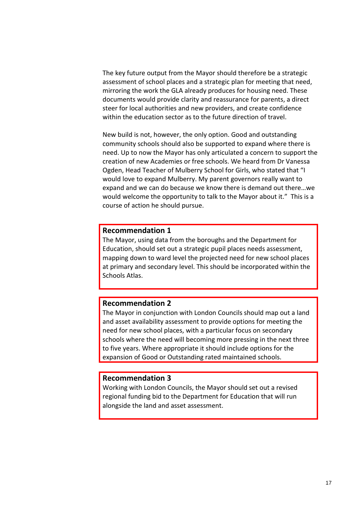The key future output from the Mayor should therefore be a strategic assessment of school places and a strategic plan for meeting that need, mirroring the work the GLA already produces for housing need. These documents would provide clarity and reassurance for parents, a direct steer for local authorities and new providers, and create confidence within the education sector as to the future direction of travel.

New build is not, however, the only option. Good and outstanding community schools should also be supported to expand where there is need. Up to now the Mayor has only articulated a concern to support the creation of new Academies or free schools. We heard from Dr Vanessa Ogden, Head Teacher of Mulberry School for Girls, who stated that "I would love to expand Mulberry. My parent governors really want to expand and we can do because we know there is demand out there…we would welcome the opportunity to talk to the Mayor about it." This is a course of action he should pursue.

# **Recommendation 1**

The Mayor, using data from the boroughs and the Department for Education, should set out a strategic pupil places needs assessment, mapping down to ward level the projected need for new school places at primary and secondary level. This should be incorporated within the Schools Atlas.

# **Recommendation 2**

The Mayor in conjunction with London Councils should map out a land and asset availability assessment to provide options for meeting the need for new school places, with a particular focus on secondary schools where the need will becoming more pressing in the next three to five years. Where appropriate it should include options for the expansion of Good or Outstanding rated maintained schools.

# **Recommendation 3**

Working with London Councils, the Mayor should set out a revised regional funding bid to the Department for Education that will run alongside the land and asset assessment.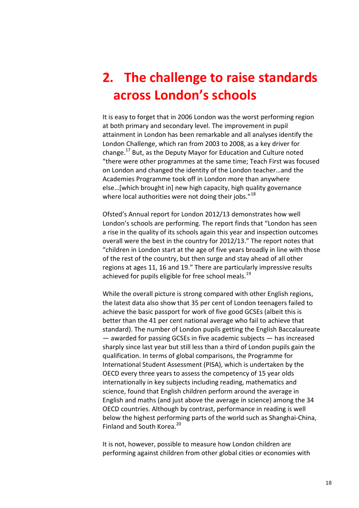# <span id="page-17-0"></span>**2. The challenge to raise standards across London's schools**

It is easy to forget that in 2006 London was the worst performing region at both primary and secondary level. The improvement in pupil attainment in London has been remarkable and all analyses identify the London Challenge, which ran from 2003 to 2008, as a key driver for change.<sup>17</sup> But, as the Deputy Mayor for Education and Culture noted "there were other programmes at the same time; Teach First was focused on London and changed the identity of the London teacher…and the Academies Programme took off in London more than anywhere else…[which brought in] new high capacity, high quality governance where local authorities were not doing their jobs." $^{18}$ 

Ofsted's Annual report for London 2012/13 demonstrates how well London's schools are performing. The report finds that "London has seen a rise in the quality of its schools again this year and inspection outcomes overall were the best in the country for 2012/13." The report notes that "children in London start at the age of five years broadly in line with those of the rest of the country, but then surge and stay ahead of all other regions at ages 11, 16 and 19." There are particularly impressive results achieved for pupils eligible for free school meals.<sup>19</sup>

While the overall picture is strong compared with other English regions, the latest data also show that 35 per cent of London teenagers failed to achieve the basic passport for work of five good GCSEs (albeit this is better than the 41 per cent national average who fail to achieve that standard). The number of London pupils getting the English Baccalaureate — awarded for passing GCSEs in five academic subjects — has increased sharply since last year but still less than a third of London pupils gain the qualification. In terms of global comparisons, the Programme for International Student Assessment (PISA), which is undertaken by the OECD every three years to assess the competency of 15 year olds internationally in key subjects including reading, mathematics and science, found that English children perform around the average in English and maths (and just above the average in science) among the 34 OECD countries. Although by contrast, performance in reading is well below the highest performing parts of the world such as Shanghai-China, Finland and South Korea.<sup>20</sup>

It is not, however, possible to measure how London children are performing against children from other global cities or economies with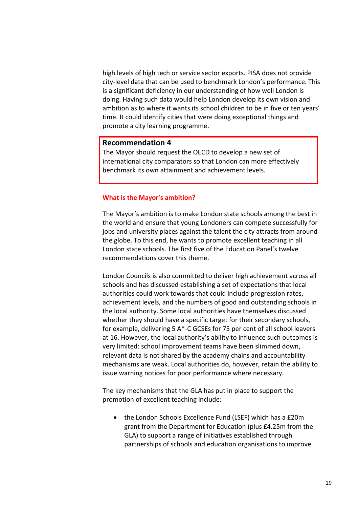high levels of high tech or service sector exports. PISA does not provide city-level data that can be used to benchmark London's performance. This is a significant deficiency in our understanding of how well London is doing. Having such data would help London develop its own vision and ambition as to where it wants its school children to be in five or ten years' time. It could identify cities that were doing exceptional things and promote a city learning programme.

# **Recommendation 4**

The Mayor should request the OECD to develop a new set of international city comparators so that London can more effectively benchmark its own attainment and achievement levels.

## **What is the Mayor's ambition?**

The Mayor's ambition is to make London state schools among the best in the world and ensure that young Londoners can compete successfully for jobs and university places against the talent the city attracts from around the globe. To this end, he wants to promote excellent teaching in all London state schools. The first five of the Education Panel's twelve recommendations cover this theme.

London Councils is also committed to deliver high achievement across all schools and has discussed establishing a set of expectations that local authorities could work towards that could include progression rates, achievement levels, and the numbers of good and outstanding schools in the local authority. Some local authorities have themselves discussed whether they should have a specific target for their secondary schools, for example, delivering 5 A\*-C GCSEs for 75 per cent of all school leavers at 16. However, the local authority's ability to influence such outcomes is very limited: school improvement teams have been slimmed down, relevant data is not shared by the academy chains and accountability mechanisms are weak. Local authorities do, however, retain the ability to issue warning notices for poor performance where necessary.

The key mechanisms that the GLA has put in place to support the promotion of excellent teaching include:

• the London Schools Excellence Fund (LSEF) which has a £20m grant from the Department for Education (plus £4.25m from the GLA) to support a range of initiatives established through partnerships of schools and education organisations to improve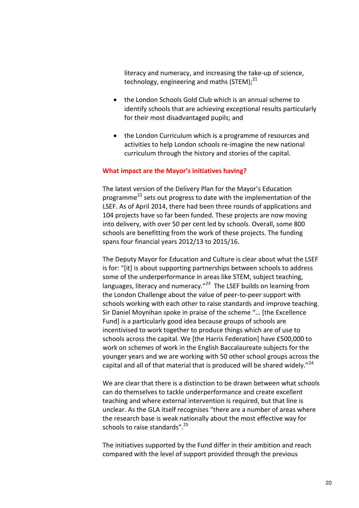literacy and numeracy, and increasing the take-up of science, technology, engineering and maths (STEM): $^{21}$ 

- the London Schools Gold Club which is an annual scheme to identify schools that are achieving exceptional results particularly for their most disadvantaged pupils; and
- the London Curriculum which is a programme of resources and activities to help London schools re-imagine the new national curriculum through the history and stories of the capital.

# **What impact are the Mayor's initiatives having?**

The latest version of the Delivery Plan for the Mayor's Education programme<sup>22</sup> sets out progress to date with the implementation of the LSEF. As of April 2014, there had been three rounds of applications and 104 projects have so far been funded. These projects are now moving into delivery, with over 50 per cent led by schools. Overall, some 800 schools are benefitting from the work of these projects. The funding spans four financial years 2012/13 to 2015/16.

The Deputy Mayor for Education and Culture is clear about what the LSEF is for: "[it] is about supporting partnerships between schools to address some of the underperformance in areas like STEM, subject teaching, languages, literacy and numeracy."<sup>23</sup> The LSEF builds on learning from the London Challenge about the value of peer-to-peer support with schools working with each other to raise standards and improve teaching. Sir Daniel Moynihan spoke in praise of the scheme "… [the Excellence Fund] is a particularly good idea because groups of schools are incentivised to work together to produce things which are of use to schools across the capital. We [the Harris Federation] have £500,000 to work on schemes of work in the English Baccalaureate subjects for the younger years and we are working with 50 other school groups across the capital and all of that material that is produced will be shared widely."<sup>24</sup>

We are clear that there is a distinction to be drawn between what schools can do themselves to tackle underperformance and create excellent teaching and where external intervention is required, but that line is unclear. As the GLA itself recognises "there are a number of areas where the research base is weak nationally about the most effective way for schools to raise standards".<sup>25</sup>

The initiatives supported by the Fund differ in their ambition and reach compared with the level of support provided through the previous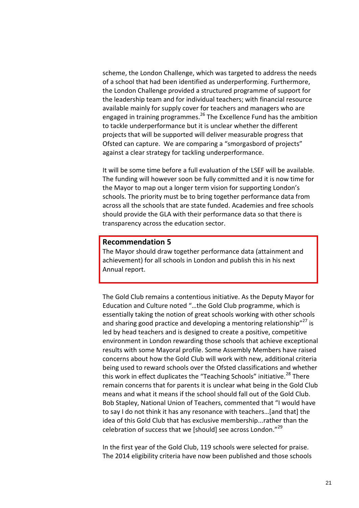scheme, the London Challenge, which was targeted to address the needs of a school that had been identified as underperforming. Furthermore, the London Challenge provided a structured programme of support for the leadership team and for individual teachers; with financial resource available mainly for supply cover for teachers and managers who are engaged in training programmes.<sup>26</sup> The Excellence Fund has the ambition to tackle underperformance but it is unclear whether the different projects that will be supported will deliver measurable progress that Ofsted can capture. We are comparing a "smorgasbord of projects" against a clear strategy for tackling underperformance.

It will be some time before a full evaluation of the LSEF will be available. The funding will however soon be fully committed and it is now time for the Mayor to map out a longer term vision for supporting London's schools. The priority must be to bring together performance data from across all the schools that are state funded. Academies and free schools should provide the GLA with their performance data so that there is transparency across the education sector.

# **Recommendation 5**

The Mayor should draw together performance data (attainment and achievement) for all schools in London and publish this in his next Annual report.

The Gold Club remains a contentious initiative. As the Deputy Mayor for Education and Culture noted "…the Gold Club programme, which is essentially taking the notion of great schools working with other schools and sharing good practice and developing a mentoring relationship"<sup>27</sup> is led by head teachers and is designed to create a positive, competitive environment in London rewarding those schools that achieve exceptional results with some Mayoral profile. Some Assembly Members have raised concerns about how the Gold Club will work with new, additional criteria being used to reward schools over the Ofsted classifications and whether this work in effect duplicates the "Teaching Schools" initiative.<sup>28</sup> There remain concerns that for parents it is unclear what being in the Gold Club means and what it means if the school should fall out of the Gold Club. Bob Stapley, National Union of Teachers, commented that "I would have to say I do not think it has any resonance with teachers…[and that] the idea of this Gold Club that has exclusive membership...rather than the celebration of success that we [should] see across London."<sup>29</sup>

In the first year of the Gold Club, 119 schools were selected for praise. The 2014 eligibility criteria have now been published and those schools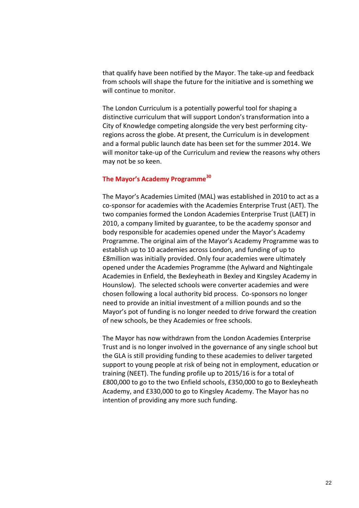that qualify have been notified by the Mayor. The take-up and feedback from schools will shape the future for the initiative and is something we will continue to monitor.

The London Curriculum is a potentially powerful tool for shaping a distinctive curriculum that will support London's transformation into a City of Knowledge competing alongside the very best performing cityregions across the globe. At present, the Curriculum is in development and a formal public launch date has been set for the summer 2014. We will monitor take-up of the Curriculum and review the reasons why others may not be so keen.

# **The Mayor's Academy Programme<sup>30</sup>**

The Mayor's Academies Limited (MAL) was established in 2010 to act as a co-sponsor for academies with the Academies Enterprise Trust (AET). The two companies formed the London Academies Enterprise Trust (LAET) in 2010, a company limited by guarantee, to be the academy sponsor and body responsible for academies opened under the Mayor's Academy Programme. The original aim of the Mayor's Academy Programme was to establish up to 10 academies across London, and funding of up to £8million was initially provided. Only four academies were ultimately opened under the Academies Programme (the Aylward and Nightingale Academies in Enfield, the Bexleyheath in Bexley and Kingsley Academy in Hounslow). The selected schools were converter academies and were chosen following a local authority bid process. Co-sponsors no longer need to provide an initial investment of a million pounds and so the Mayor's pot of funding is no longer needed to drive forward the creation of new schools, be they Academies or free schools.

The Mayor has now withdrawn from the London Academies Enterprise Trust and is no longer involved in the governance of any single school but the GLA is still providing funding to these academies to deliver targeted support to young people at risk of being not in employment, education or training (NEET). The funding profile up to 2015/16 is for a total of £800,000 to go to the two Enfield schools, £350,000 to go to Bexleyheath Academy, and £330,000 to go to Kingsley Academy. The Mayor has no intention of providing any more such funding.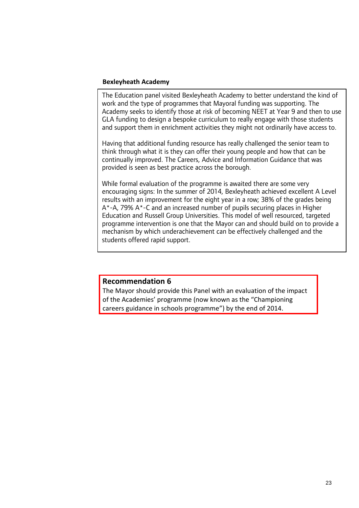# **Bexleyheath Academy**

The Education panel visited Bexleyheath Academy to better understand the kind of work and the type of programmes that Mayoral funding was supporting. The Academy seeks to identify those at risk of becoming NEET at Year 9 and then to use GLA funding to design a bespoke curriculum to really engage with those students and support them in enrichment activities they might not ordinarily have access to.

Having that additional funding resource has really challenged the senior team to think through what it is they can offer their young people and how that can be continually improved. The Careers, Advice and Information Guidance that was provided is seen as best practice across the borough.

While formal evaluation of the programme is awaited there are some very encouraging signs: In the summer of 2014, Bexleyheath achieved excellent A Level results with an improvement for the eight year in a row; 38% of the grades being A\*-A, 79% A\*-C and an increased number of pupils securing places in Higher Education and Russell Group Universities. This model of well resourced, targeted programme intervention is one that the Mayor can and should build on to provide a mechanism by which underachievement can be effectively challenged and the students offered rapid support.

# **Recommendation 6**

The Mayor should provide this Panel with an evaluation of the impact of the Academies' programme (now known as the "Championing careers guidance in schools programme") by the end of 2014.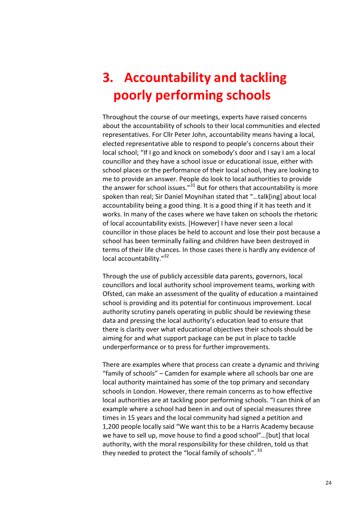# <span id="page-23-0"></span>**3. Accountability and tackling poorly performing schools**

Throughout the course of our meetings, experts have raised concerns about the accountability of schools to their local communities and elected representatives. For Cllr Peter John, accountability means having a local, elected representative able to respond to people's concerns about their local school; "If I go and knock on somebody's door and I say I am a local councillor and they have a school issue or educational issue, either with school places or the performance of their local school, they are looking to me to provide an answer. People do look to local authorities to provide the answer for school issues. $^{31}$  But for others that accountability is more spoken than real; Sir Daniel Moynihan stated that "…talk[ing] about local accountability being a good thing. It is a good thing if it has teeth and it works. In many of the cases where we have taken on schools the rhetoric of local accountability exists. [However] I have never seen a local councillor in those places be held to account and lose their post because a school has been terminally failing and children have been destroyed in terms of their life chances. In those cases there is hardly any evidence of local accountability."<sup>32</sup>

Through the use of publicly accessible data parents, governors, local councillors and local authority school improvement teams, working with Ofsted, can make an assessment of the quality of education a maintained school is providing and its potential for continuous improvement. Local authority scrutiny panels operating in public should be reviewing these data and pressing the local authority's education lead to ensure that there is clarity over what educational objectives their schools should be aiming for and what support package can be put in place to tackle underperformance or to press for further improvements.

There are examples where that process can create a dynamic and thriving "family of schools" – Camden for example where all schools bar one are local authority maintained has some of the top primary and secondary schools in London. However, there remain concerns as to how effective local authorities are at tackling poor performing schools. "I can think of an example where a school had been in and out of special measures three times in 15 years and the local community had signed a petition and 1,200 people locally said "We want this to be a Harris Academy because we have to sell up, move house to find a good school"…[but] that local authority, with the moral responsibility for these children, told us that they needed to protect the "local family of schools". 33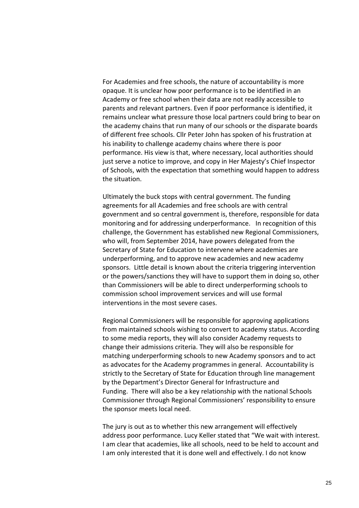For Academies and free schools, the nature of accountability is more opaque. It is unclear how poor performance is to be identified in an Academy or free school when their data are not readily accessible to parents and relevant partners. Even if poor performance is identified, it remains unclear what pressure those local partners could bring to bear on the academy chains that run many of our schools or the disparate boards of different free schools. Cllr Peter John has spoken of his frustration at his inability to challenge academy chains where there is poor performance. His view is that, where necessary, local authorities should just serve a notice to improve, and copy in Her Majesty's Chief Inspector of Schools, with the expectation that something would happen to address the situation.

Ultimately the buck stops with central government. The funding agreements for all Academies and free schools are with central government and so central government is, therefore, responsible for data monitoring and for addressing underperformance. In recognition of this challenge, the Government has established new Regional Commissioners, who will, from September 2014, have powers delegated from the Secretary of State for Education to intervene where academies are underperforming, and to approve new academies and new academy sponsors. Little detail is known about the criteria triggering intervention or the powers/sanctions they will have to support them in doing so, other than Commissioners will be able to direct underperforming schools to commission school improvement services and will use formal interventions in the most severe cases.

Regional Commissioners will be responsible for approving applications from maintained schools wishing to convert to academy status. According to some media reports, they will also consider Academy requests to change their admissions criteria. They will also be responsible for matching underperforming schools to new Academy sponsors and to act as advocates for the Academy programmes in general. Accountability is strictly to the Secretary of State for Education through line management by the Department's Director General for Infrastructure and Funding. There will also be a key relationship with the national Schools Commissioner through Regional Commissioners' responsibility to ensure the sponsor meets local need.

The jury is out as to whether this new arrangement will effectively address poor performance. Lucy Keller stated that "We wait with interest. I am clear that academies, like all schools, need to be held to account and I am only interested that it is done well and effectively. I do not know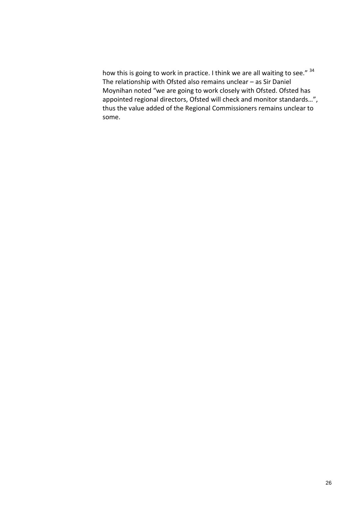how this is going to work in practice. I think we are all waiting to see." 34 The relationship with Ofsted also remains unclear – as Sir Daniel Moynihan noted "we are going to work closely with Ofsted. Ofsted has appointed regional directors, Ofsted will check and monitor standards…", thus the value added of the Regional Commissioners remains unclear to some.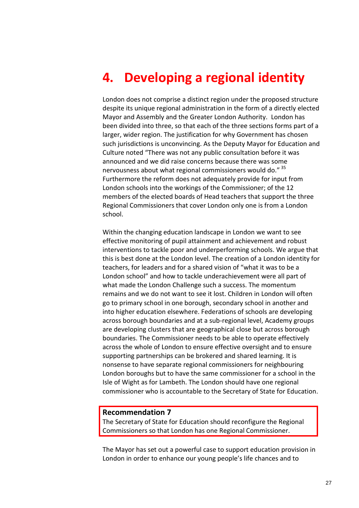# <span id="page-26-0"></span>**4. Developing a regional identity**

London does not comprise a distinct region under the proposed structure despite its unique regional administration in the form of a directly elected Mayor and Assembly and the Greater London Authority. London has been divided into three, so that each of the three sections forms part of a larger, wider region. The justification for why Government has chosen such jurisdictions is unconvincing. As the Deputy Mayor for Education and Culture noted "There was not any public consultation before it was announced and we did raise concerns because there was some nervousness about what regional commissioners would do." <sup>35</sup> Furthermore the reform does not adequately provide for input from London schools into the workings of the Commissioner; of the 12 members of the elected boards of Head teachers that support the three Regional Commissioners that cover London only one is from a London school.

Within the changing education landscape in London we want to see effective monitoring of pupil attainment and achievement and robust interventions to tackle poor and underperforming schools. We argue that this is best done at the London level. The creation of a London identity for teachers, for leaders and for a shared vision of "what it was to be a London school" and how to tackle underachievement were all part of what made the London Challenge such a success. The momentum remains and we do not want to see it lost. Children in London will often go to primary school in one borough, secondary school in another and into higher education elsewhere. Federations of schools are developing across borough boundaries and at a sub-regional level, Academy groups are developing clusters that are geographical close but across borough boundaries. The Commissioner needs to be able to operate effectively across the whole of London to ensure effective oversight and to ensure supporting partnerships can be brokered and shared learning. It is nonsense to have separate regional commissioners for neighbouring London boroughs but to have the same commissioner for a school in the Isle of Wight as for Lambeth. The London should have one regional commissioner who is accountable to the Secretary of State for Education.

# **Recommendation 7**

The Secretary of State for Education should reconfigure the Regional Commissioners so that London has one Regional Commissioner.

The Mayor has set out a powerful case to support education provision in London in order to enhance our young people's life chances and to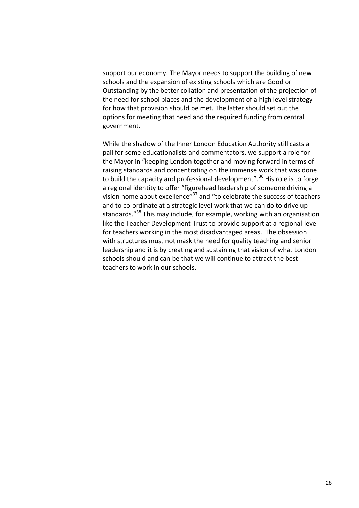support our economy. The Mayor needs to support the building of new schools and the expansion of existing schools which are Good or Outstanding by the better collation and presentation of the projection of the need for school places and the development of a high level strategy for how that provision should be met. The latter should set out the options for meeting that need and the required funding from central government.

While the shadow of the Inner London Education Authority still casts a pall for some educationalists and commentators, we support a role for the Mayor in "keeping London together and moving forward in terms of raising standards and concentrating on the immense work that was done to build the capacity and professional development".<sup>36</sup> His role is to forge a regional identity to offer "figurehead leadership of someone driving a vision home about excellence"<sup>37</sup> and "to celebrate the success of teachers and to co-ordinate at a strategic level work that we can do to drive up standards."<sup>38</sup> This may include, for example, working with an organisation like the Teacher Development Trust to provide support at a regional level for teachers working in the most disadvantaged areas. The obsession with structures must not mask the need for quality teaching and senior leadership and it is by creating and sustaining that vision of what London schools should and can be that we will continue to attract the best teachers to work in our schools.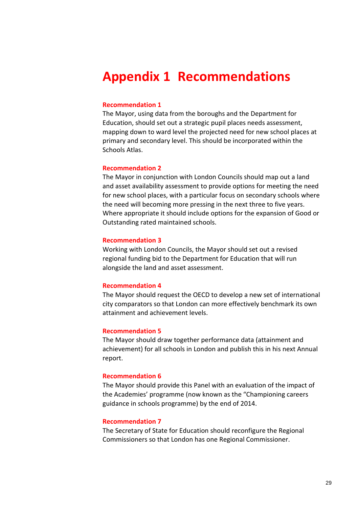# <span id="page-28-0"></span>**Appendix 1 Recommendations**

# **Recommendation 1**

The Mayor, using data from the boroughs and the Department for Education, should set out a strategic pupil places needs assessment, mapping down to ward level the projected need for new school places at primary and secondary level. This should be incorporated within the Schools Atlas.

# **Recommendation 2**

The Mayor in conjunction with London Councils should map out a land and asset availability assessment to provide options for meeting the need for new school places, with a particular focus on secondary schools where the need will becoming more pressing in the next three to five years. Where appropriate it should include options for the expansion of Good or Outstanding rated maintained schools.

## **Recommendation 3**

Working with London Councils, the Mayor should set out a revised regional funding bid to the Department for Education that will run alongside the land and asset assessment.

## **Recommendation 4**

The Mayor should request the OECD to develop a new set of international city comparators so that London can more effectively benchmark its own attainment and achievement levels.

### **Recommendation 5**

The Mayor should draw together performance data (attainment and achievement) for all schools in London and publish this in his next Annual report.

#### **Recommendation 6**

The Mayor should provide this Panel with an evaluation of the impact of the Academies' programme (now known as the "Championing careers guidance in schools programme) by the end of 2014.

### **Recommendation 7**

The Secretary of State for Education should reconfigure the Regional Commissioners so that London has one Regional Commissioner.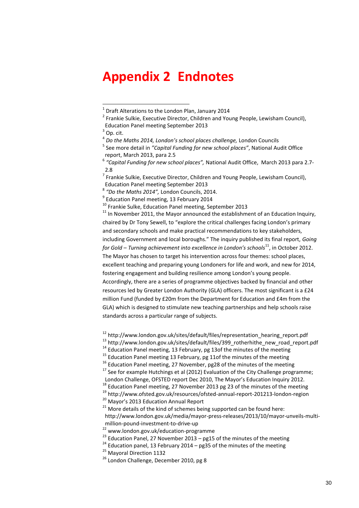# <span id="page-29-0"></span>**Appendix 2 Endnotes**

4 *Do the Maths 2014, London's school places challenge,* London Councils

<sup>7</sup> Frankie Sulkie, Executive Director, Children and Young People, Lewisham Council), Education Panel meeting September 2013

8 *"Do the Maths 2014",* London Councils, 2014.

<sup>9</sup> Education Panel meeting, 13 February 2014

<sup>10</sup> Frankie Sulke, Education Panel meeting, September 2013

 $11$  In November 2011, the Mayor announced the establishment of an Education Inquiry, chaired by Dr Tony Sewell, to "explore the critical challenges facing London's primary and secondary schools and make practical recommendations to key stakeholders, including Government and local boroughs." The inquiry published its final report, *Going for Gold – Turning achievement into excellence in London's schools*<sup>11</sup>, in October 2012. The Mayor has chosen to target his intervention across four themes: school places, excellent teaching and preparing young Londoners for life and work, and new for 2014, fostering engagement and building resilience among London's young people. Accordingly, there are a series of programme objectives backed by financial and other resources led by Greater London Authority (GLA) officers. The most significant is a £24 million Fund (funded by £20m from the Department for Education and £4m from the GLA) which is designed to stimulate new teaching partnerships and help schools raise standards across a particular range of subjects.

<sup>12</sup> [http://www.london.gov.uk/sites/default/files/representation\\_hearing\\_report.pdf](http://www.london.gov.uk/sites/default/files/representation_hearing_report.pdf)

<sup>13</sup> [http://www.london.gov.uk/sites/default/files/399\\_rotherhithe\\_new\\_road\\_report.pdf](http://www.london.gov.uk/sites/default/files/399_rotherhithe_new_road_report.pdf)

<sup>20</sup> Mavor's 2013 Education Annual Report

[http://www.london.gov.uk/media/mayor-press-releases/2013/10/mayor-unveils-multi](http://www.london.gov.uk/media/mayor-press-releases/2013/10/mayor-unveils-multi-million-pound-investment-to-drive-up)[million-pound-investment-to-drive-up](http://www.london.gov.uk/media/mayor-press-releases/2013/10/mayor-unveils-multi-million-pound-investment-to-drive-up)

 1 Draft Alterations to the London Plan, January 2014

<sup>&</sup>lt;sup>2</sup> Frankie Sulkie, Executive Director, Children and Young People, Lewisham Council), Education Panel meeting September 2013

 $^3$  Op. cit.

<sup>5</sup> See more detail in *"Capital Funding for new school places"*, National Audit Office report, March 2013, para 2.5

<sup>6</sup> *"Capital Funding for new school places",* National Audit Office, March 2013 para 2.7- 2.8

 $14$  Education Panel meeting, 13 February, pg 13of the minutes of the meeting

<sup>&</sup>lt;sup>15</sup> Education Panel meeting 13 February, pg 11of the minutes of the meeting

<sup>&</sup>lt;sup>16</sup> Education Panel meeting, 27 November, pg28 of the minutes of the meeting

 $17$  See for example Hutchings et al (2012) Evaluation of the City Challenge programme; London Challenge, OFSTED report Dec 2010, The Mayor's Education Inquiry 2012.

<sup>18</sup> Education Panel meeting, 27 November 2013 pg 23 of the minutes of the meeting

<sup>19</sup> http://www.ofsted.gov.uk/resources/ofsted-annual-report-201213-london-region

 $21$  More details of the kind of schemes being supported can be found here:

<sup>&</sup>lt;sup>22</sup> [www.london.gov.uk/education-programme](http://www.london.gov.uk/education-programme)

<sup>&</sup>lt;sup>23</sup> Education Panel, 27 November 2013 – pg15 of the minutes of the meeting

<sup>&</sup>lt;sup>24</sup> Education panel, 13 February 2014 – pg35 of the minutes of the meeting

<sup>&</sup>lt;sup>25</sup> Mavoral Direction 1132

 $26$  London Challenge, December 2010, pg 8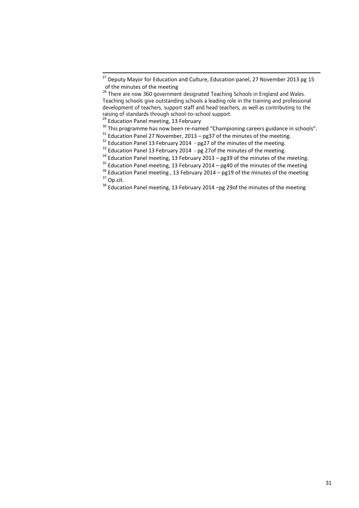1

 $^{27}$  Deputy Mayor for Education and Culture, Education panel, 27 November 2013 pg 15 of the minutes of the meeting

 $^{28}$  There are now 360 government designated Teaching Schools in England and Wales. Teaching schools give outstanding schools a leading role in the training and professional development of teachers, support staff and head teachers, as well as contributing to the raising of standards through school-to-school support.

<sup>&</sup>lt;sup>29</sup> Education Panel meeting, 13 February

<sup>&</sup>lt;sup>30</sup> This programme has now been re-named "Championing careers guidance in schools".

<sup>&</sup>lt;sup>31</sup> Education Panel 27 November, 2013 – pg37 of the minutes of the meeting.

<sup>&</sup>lt;sup>32</sup> Education Panel 13 February 2014 - pg27 of the minutes of the meeting.

 $33$  Education Panel 13 February 2014 - pg 27of the minutes of the meeting.

<sup>&</sup>lt;sup>34</sup> Education Panel meeting, 13 February 2013 – pg39 of the minutes of the meeting.

 $^{35}$  Education Panel meeting, 13 February 2014 – pg40 of the minutes of the meeting

 $^{36}$  Education Panel meeting , 13 February 2014 – pg19 of the minutes of the meeting <sup>37</sup> Op.cit.

<sup>&</sup>lt;sup>38</sup> Education Panel meeting, 13 February 2014 –pg 29of the minutes of the meeting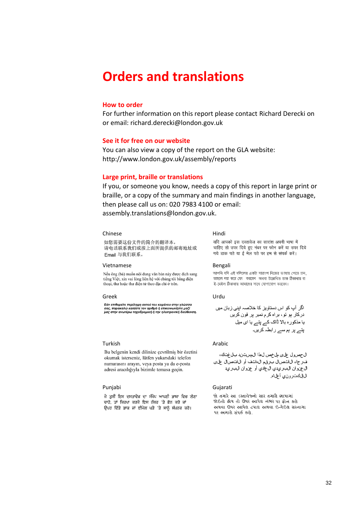# <span id="page-31-0"></span>**Orders and translations**

# **How to order**

For further information on this report please contact Richard Derecki on or email: richard.derecki@london.gov.uk

### **See it for free on our website**

You can also view a copy of the report on the GLA website: http://www.london.gov.uk/assembly/reports

#### **Large print, braille or translations**

If you, or someone you know, needs a copy of this report in large print or braille, or a copy of the summary and main findings in another language, then please call us on: 020 7983 4100 or email: [assembly.translations@london.gov.uk.](mailto:assembly.translations@london.gov.uk)

#### Chinese Hindi

#### 如您需要这份文件的简介的翻译本, 请电话联系我们或按上面所提供的邮寄地址或 Email 与我们联系。

#### Vietnamese Bengali

Nếu ông (bà) muốn nội dung văn bản này được dịch sang tiếng Việt, xin vui lòng liên hệ với chúng tôi bằng điện thoại, thư hoặc thư điện tử theo địa chỉ ở trên.

#### Greek Urdu

Εάν επιθυμείτε περίληψη αυτού του κεμιένου στην γλώσσα<br>σας, παρακαλώ καλέστε τον αριθμό ή επικοινωνήστε μαζί<br>μας στην ανωτέρω ταχυδρομική ή την ηλεκτρονική διεύθυνση.

यदि आपको इस दस्तावेज का सारांश अपनी भाषा में चाहिए तो उपर दिये हुए नंबर पर फोन करें या उपर दिये गये डाक पते या ई मेल पते पर हम से संपर्क करें।

আপনি যদি এই দলিলের একটা সারাংশ নিজের ভাষায় পেতে চান, তাহলে দয়া করে ফো করবেন অথবা উল্লেখিত ডাক ঠিকানায় বা ই-মেইল ঠিকানায় আমাদের সাথে যোগাযোগ করবেন।

اگر آپ کو اس دستاویز کا خلاصہ اپنی زبان میں ۔<br>درکار ہو تو، براہ کرم نمبر پر فون کریں یا مذکورہ بالا ڈاک کے پتے یا ای میل یتے پر ہم سے رابطہ کریں۔

ال جص ول على مل خص ل هذا ال مست ن دبل غتك، ف رجاء ال انحس ال برق مال التف أو ال انحس ال على ال عن وان ال بريدي ال عادي أو عن وان ال بريد ال|لكت رون0 أعلاه.

જો તમારે આ દસ્તાવેજનો સાર તમારી ભાષામાં જોઈતો હોય તો ઉપર આપેલ નંભર પર ફોન કરો અથવા ઉપર આપેલ ટપાલ અથવા ઈ-મેઈલ સરનામા ૫ર અમારો સંપર્ક કરો.

#### Turkish Arabic Number 2012

Bu belgenin kendi dilinize çevrilmiş bir özetini okumak isterseniz, lütfen yukarıdaki telefon numarasını arayın, veya posta ya da e-posta adresi aracılığıyla bizimle temasa geçin.

#### Punjabi Gujarati

ਜੇ ਤੁਸੀਂ ਇਸ ਦਸਤਾਵੇਜ਼ ਦਾ ਸੰਖੇਪ ਆਪਣੀ ਭਾਸ਼ਾ ਵਿਚ ਲੈਣਾ ਚਾਹੋ. ਤਾਂ ਕਿਰਪਾ ਕਰਕੇ ਇਸ ਨੰਬਰ 'ਤੇ ਫੋਨ ਕਰੋ ਜਾਂ ਉਪਰ ਦਿੱਤੇ ਡਾਕ ਜਾਂ ਈਮੇਲ ਪਤੇ 'ਤੇ ਸਾਨੂੰ ਸੰਪਰਕ ਕਰੋ।